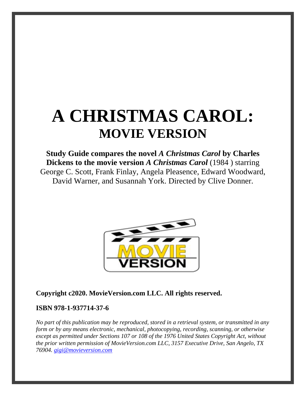# **A CHRISTMAS CAROL: MOVIE VERSION**

**Study Guide compares the novel** *A Christmas Carol* **by Charles Dickens to the movie version** *A Christmas Carol* (1984 ) starring George C. Scott, Frank Finlay, Angela Pleasence, Edward Woodward, David Warner, and Susannah York. Directed by Clive Donner.



#### **Copyright c2020. MovieVersion.com LLC. All rights reserved.**

#### **ISBN 978-1-937714-37-6**

*No part of this publication may be reproduced, stored in a retrieval system, or transmitted in any form or by any means electronic, mechanical, photocopying, recording, scanning, or otherwise except as permitted under Sections 107 or 108 of the 1976 United States Copyright Act, without the prior written permission of MovieVersion.com LLC, 3157 Executive Drive, San Angelo, TX 76904. [gigi@movieversion.com](mailto:gigi@movieversion.com)*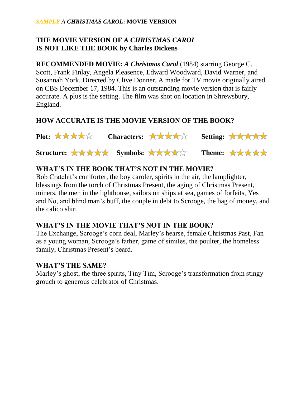# **THE MOVIE VERSION OF** *A CHRISTMAS CAROL* **IS NOT LIKE THE BOOK by Charles Dickens**

**RECOMMENDED MOVIE:** *A Christmas Carol* (1984) starring George C. Scott, Frank Finlay, Angela Pleasence, Edward Woodward, David Warner, and Susannah York. Directed by Clive Donner. A made for TV movie originally aired on CBS December 17, 1984. This is an outstanding movie version that is fairly accurate. A plus is the setting. The film was shot on location in Shrewsbury, England.

## **HOW ACCURATE IS THE MOVIE VERSION OF THE BOOK?**



### **WHAT'S IN THE BOOK THAT'S NOT IN THE MOVIE?**

Bob Cratchit's comforter, the boy caroler, spirits in the air, the lamplighter, blessings from the torch of Christmas Present, the aging of Christmas Present, miners, the men in the lighthouse, sailors on ships at sea, games of forfeits, Yes and No, and blind man's buff, the couple in debt to Scrooge, the bag of money, and the calico shirt.

#### **WHAT'S IN THE MOVIE THAT'S NOT IN THE BOOK?**

The Exchange, Scrooge's corn deal, Marley's hearse, female Christmas Past, Fan as a young woman, Scrooge's father, game of similes, the poulter, the homeless family, Christmas Present's beard.

#### **WHAT'S THE SAME?**

Marley's ghost, the three spirits, Tiny Tim, Scrooge's transformation from stingy grouch to generous celebrator of Christmas.